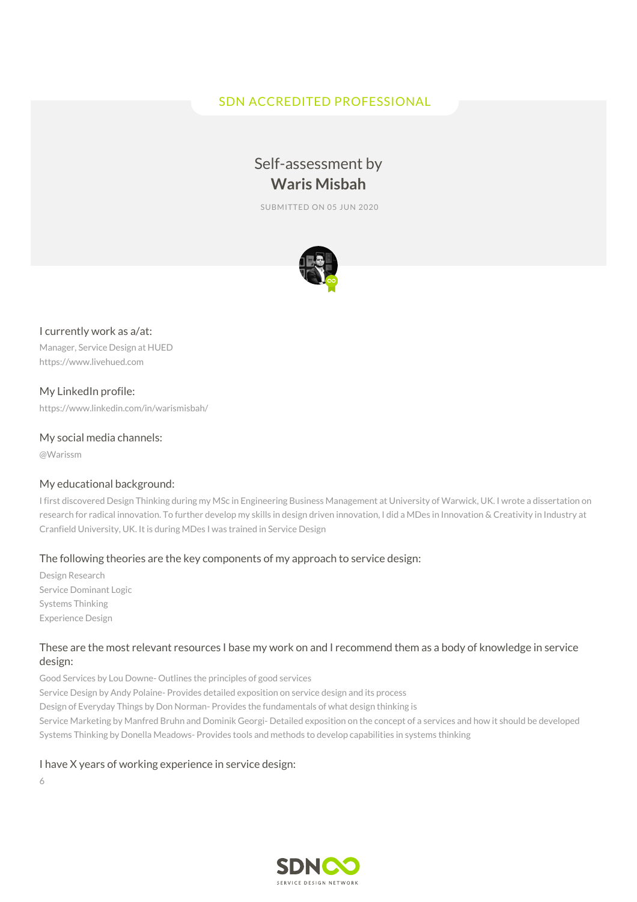## SDN ACCREDITED PROFESSIONAL

# Self-assessment by **Waris Misbah**

SUBMITTED ON 05 JUN 2020



## I currently work as a/at:

Manager, Service Design at HUED https://www.livehued.com

My LinkedIn profile: https://www.linkedin.com/in/warismisbah/

## My social media channels:

@Warissm

## My educational background:

I first discovered Design Thinking during my MSc in Engineering Business Management at University of Warwick, UK. I wrote a dissertation on research for radical innovation. To further develop my skills in design driven innovation, I did a MDes in Innovation & Creativity in Industry at Cranfield University, UK. It is during MDes I was trained in Service Design

## The following theories are the key components of my approach to service design:

Design Research Service Dominant Logic Systems Thinking Experience Design

## These are the most relevant resources I base my work on and I recommend them as a body of knowledge in service design:

Good Services by Lou Downe- Outlines the principles of good services Service Design by Andy Polaine- Provides detailed exposition on service design and its process Design of Everyday Things by Don Norman- Provides the fundamentals of what design thinking is Service Marketing by Manfred Bruhn and Dominik Georgi- Detailed exposition on the concept of a services and how it should be developed Systems Thinking by Donella Meadows- Provides tools and methods to develop capabilities in systems thinking

## I have X years of working experience in service design:

6

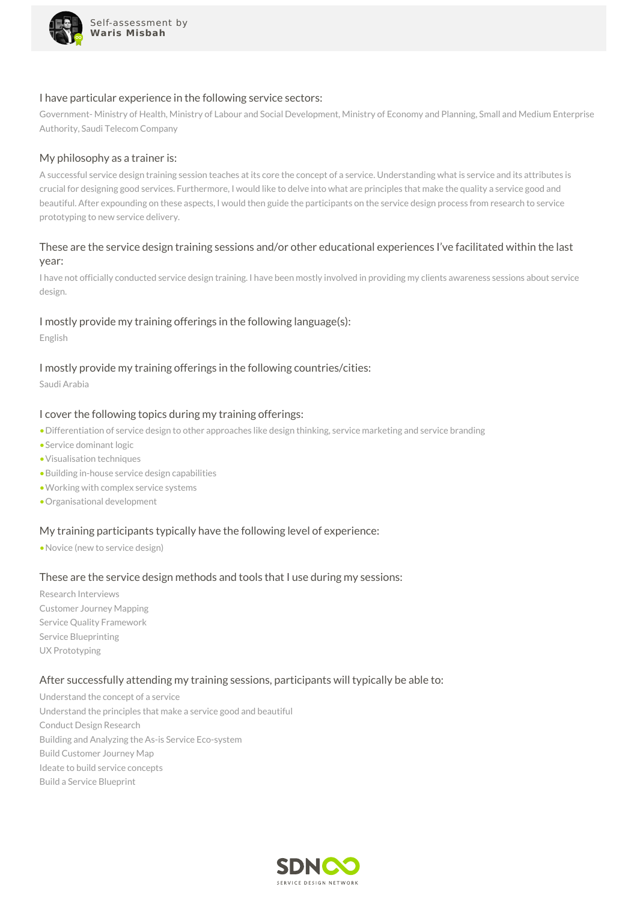

#### I have particular experience in the following service sectors:

Government- Ministry of Health, Ministry of Labour and Social Development, Ministry of Economy and Planning, Small and Medium Enterprise Authority, Saudi Telecom Company

#### My philosophy as a trainer is:

A successful service design training session teaches at its core the concept of a service. Understanding what is service and its attributes is crucial for designing good services. Furthermore, I would like to delve into what are principles that make the quality a service good and beautiful. After expounding on these aspects, I would then guide the participants on the service design process from research to service prototyping to new service delivery.

## These are the service design training sessions and/or other educational experiences I've facilitated within the last year:

I have not officially conducted service design training. I have been mostly involved in providing my clients awareness sessions about service design.

## I mostly provide my training offerings in the following language(s):

English

## I mostly provide my training offerings in the following countries/cities:

Saudi Arabia

#### I cover the following topics during my training offerings:

- •Differentiation of service design to other approaches like design thinking, service marketing and service branding
- •Service dominant logic
- •Visualisation techniques
- •Building in-house service design capabilities
- •Working with complex service systems
- •Organisational development

## My training participants typically have the following level of experience:

•Novice (new to service design)

#### These are the service design methods and tools that I use during my sessions:

Research Interviews Customer Journey Mapping Service Quality Framework Service Blueprinting UX Prototyping

#### After successfully attending my training sessions, participants will typically be able to:

Understand the concept of a service Understand the principles that make a service good and beautiful Conduct Design Research Building and Analyzing the As-is Service Eco-system Build Customer Journey Map Ideate to build service concepts Build a Service Blueprint